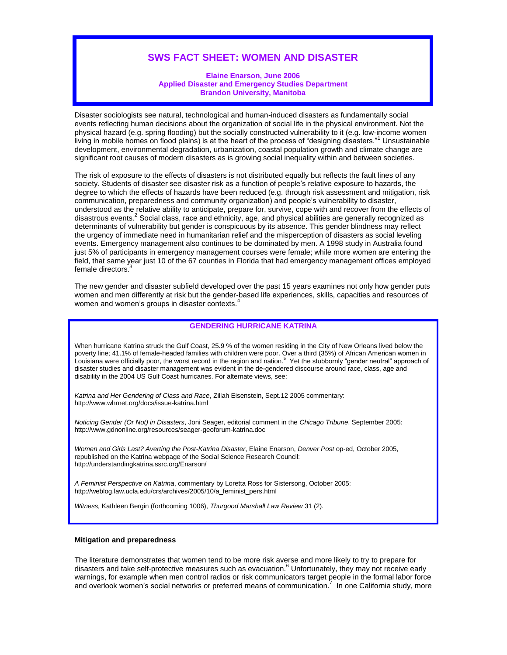# **SWS FACT SHEET: WOMEN AND DISASTER**

## **Elaine Enarson, June 2006 Applied Disaster and Emergency Studies Department Brandon University, Manitoba**

Disaster sociologists see natural, technological and human-induced disasters as fundamentally social events reflecting human decisions about the organization of social life in the physical environment. Not the physical hazard (e.g. spring flooding) but the socially constructed vulnerability to it (e.g. low-income women living in mobile homes on flood plains) is at the heart of the process of "designing disasters."<sup>1</sup> Unsustainable development, environmental degradation, urbanization, coastal population growth and climate change are significant root causes of modern disasters as is growing social inequality within and between societies.

The risk of exposure to the effects of disasters is not distributed equally but reflects the fault lines of any society. Students of disaster see disaster risk as a function of people's relative exposure to hazards, the degree to which the effects of hazards have been reduced (e.g. through risk assessment and mitigation, risk communication, preparedness and community organization) and people's vulnerability to disaster, understood as the relative ability to anticipate, prepare for, survive, cope with and recover from the effects of disastrous events.<sup>2</sup> Social class, race and ethnicity, age, and physical abilities are generally recognized as determinants of vulnerability but gender is conspicuous by its absence. This gender blindness may reflect the urgency of immediate need in humanitarian relief and the misperception of disasters as social leveling events. Emergency management also continues to be dominated by men. A 1998 study in Australia found just 5% of participants in emergency management courses were female; while more women are entering the field, that same year just 10 of the 67 counties in Florida that had emergency management offices employed female directors.

The new gender and disaster subfield developed over the past 15 years examines not only how gender puts women and men differently at risk but the gender-based life experiences, skills, capacities and resources of women and women's groups in disaster contexts.<sup>4</sup>

# **GENDERING HURRICANE KATRINA**

When hurricane Katrina struck the Gulf Coast, 25.9 % of the women residing in the City of New Orleans lived below the poverty line; 41.1% of female-headed families with children were poor. Over a third (35%) of African American women in Louisiana were officially poor, the worst record in the region and nation.<sup>5</sup> Yet the stubbornly "gender neutral" approach of disaster studies and disaster management was evident in the de-gendered discourse around race, class, age and disability in the 2004 US Gulf Coast hurricanes. For alternate views, see:

*Katrina and Her Gendering of Class and Race*, Zillah Eisenstein, Sept.12 2005 commentary: http://www.whrnet.org/docs/issue-katrina.html

*Noticing Gender (Or Not) in Disasters*, Joni Seager, editorial comment in the *Chicago Tribune*, September 2005: http://www.gdnonline.org/resources/seager-geoforum-katrina.doc

*Women and Girls Last? Averting the Post-Katrina Disaster*, Elaine Enarson, *Denver Post* op-ed, October 2005, republished on the Katrina webpage of the Social Science Research Council: http://understandingkatrina.ssrc.org/Enarson/

*A Feminist Perspective on Katrina*, commentary by Loretta Ross for Sistersong, October 2005: http://weblog.law.ucla.edu/crs/archives/2005/10/a\_feminist\_pers.html

*Witness,* Kathleen Bergin (forthcoming 1006), *Thurgood Marshall Law Review* 31 (2).

## **Mitigation and preparedness**

The literature demonstrates that women tend to be more risk averse and more likely to try to prepare for disasters and take self-protective measures such as evacuation.<sup>6</sup> Unfortunately, they may not receive early warnings, for example when men control radios or risk communicators target people in the formal labor force and overlook women's social networks or preferred means of communication.<sup>7</sup> In one California study, more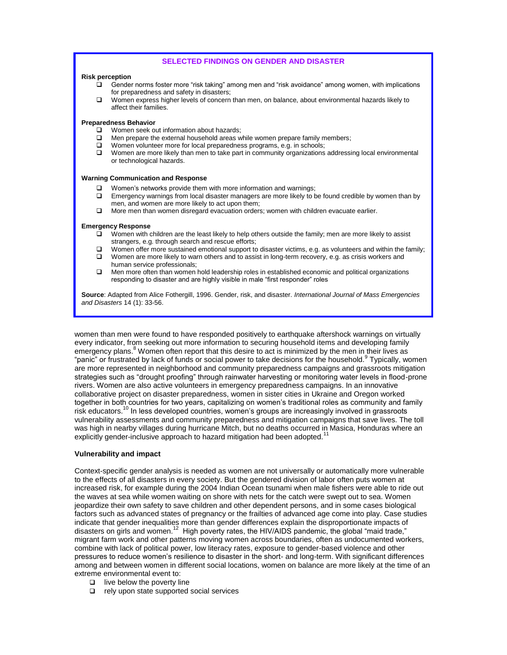## **SELECTED FINDINGS ON GENDER AND DISASTER**

#### **Risk perception**

- $\Box$  Gender norms foster more "risk taking" among men and "risk avoidance" among women, with implications for preparedness and safety in disasters;
- Women express higher levels of concern than men, on balance, about environmental hazards likely to affect their families.

## **Preparedness Behavior**

- □ Women seek out information about hazards;
- $\Box$  Men prepare the external household areas while women prepare family members;<br> $\Box$  Women volunteer more for local preparedness programs e.g. in schools:
- Women volunteer more for local preparedness programs, e.g. in schools;
- □ Women are more likely than men to take part in community organizations addressing local environmental or technological hazards.

### **Warning Communication and Response**

- $\Box$  Women's networks provide them with more information and warnings;
- Emergency warnings from local disaster managers are more likely to be found credible by women than by men, and women are more likely to act upon them;
- $\Box$  More men than women disregard evacuation orders; women with children evacuate earlier.

### **Emergency Response**

- Women with children are the least likely to help others outside the family; men are more likely to assist strangers, e.g. through search and rescue efforts;
- Women offer more sustained emotional support to disaster victims, e.g. as volunteers and within the family;
- $\Box$  Women are more likely to warn others and to assist in long-term recovery, e.g. as crisis workers and human service professionals;
- $\Box$  Men more often than women hold leadership roles in established economic and political organizations responding to disaster and are highly visible in male "first responder" roles

**Source**: Adapted from Alice Fothergill, 1996. Gender, risk, and disaster. *International Journal of Mass Emergencies and Disasters* 14 (1): 33-56.

women than men were found to have responded positively to earthquake aftershock warnings on virtually every indicator, from seeking out more information to securing household items and developing family emergency plans.<sup>8</sup> Women often report that this desire to act is minimized by the men in their lives as "panic" or frustrated by lack of funds or social power to take decisions for the household. <sup>9</sup> Typically, women are more represented in neighborhood and community preparedness campaigns and grassroots mitigation strategies such as "drought proofing" through rainwater harvesting or monitoring water levels in flood-prone rivers. Women are also active volunteers in emergency preparedness campaigns. In an innovative collaborative project on disaster preparedness, women in sister cities in Ukraine and Oregon worked together in both countries for two years, capitalizing on women's traditional roles as community and family risk educators.<sup>10</sup> In less developed countries, women's groups are increasingly involved in grassroots vulnerability assessments and community preparedness and mitigation campaigns that save lives. The toll was high in nearby villages during hurricane Mitch, but no deaths occurred in Masica, Honduras where an explicitly gender-inclusive approach to hazard mitigation had been adopted.

## **Vulnerability and impact**

Context-specific gender analysis is needed as women are not universally or automatically more vulnerable to the effects of all disasters in every society. But the gendered division of labor often puts women at increased risk, for example during the 2004 Indian Ocean tsunami when male fishers were able to ride out the waves at sea while women waiting on shore with nets for the catch were swept out to sea. Women jeopardize their own safety to save children and other dependent persons, and in some cases biological factors such as advanced states of pregnancy or the frailties of advanced age come into play. Case studies indicate that gender inequalities more than gender differences explain the disproportionate impacts of disasters on girls and women.<sup>12</sup> High poverty rates, the HIV/AIDS pandemic, the global "maid trade," migrant farm work and other patterns moving women across boundaries, often as undocumented workers, combine with lack of political power, low literacy rates, exposure to gender-based violence and other pressures to reduce women's resilience to disaster in the short- and long-term. With significant differences among and between women in different social locations, women on balance are more likely at the time of an extreme environmental event to:

- $\Box$  live below the poverty line
- $\Box$  rely upon state supported social services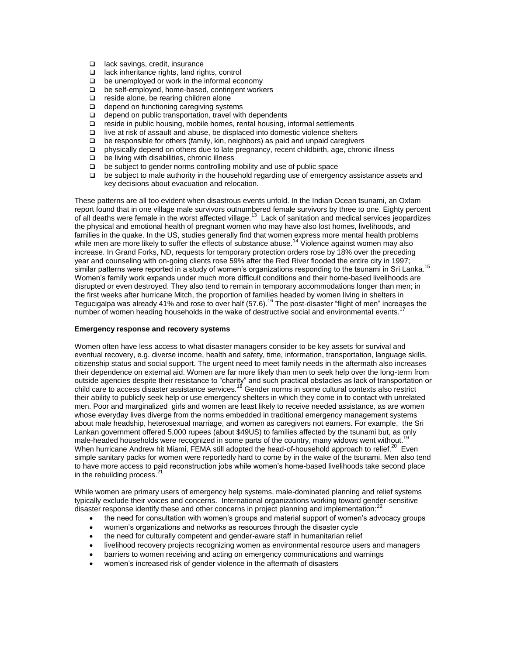- □ lack savings, credit, insurance
- □ lack inheritance rights, land rights, control
- $\Box$  be unemployed or work in the informal economy
- $\Box$  be self-employed, home-based, contingent workers
- $\Box$  reside alone, be rearing children alone
- $\Box$  depend on functioning caregiving systems
- $\Box$  depend on public transportation, travel with dependents
- $\Box$  reside in public housing, mobile homes, rental housing, informal settlements
- $\Box$  live at risk of assault and abuse, be displaced into domestic violence shelters
- $\Box$  be responsible for others (family, kin, neighbors) as paid and unpaid caregivers  $\Box$  physically depend on others due to late pregnancy, recent childbirth, age, chron
- physically depend on others due to late pregnancy, recent childbirth, age, chronic illness
- $\Box$  be living with disabilities, chronic illness  $\Box$  be subject to gender norms controlling n
- be subject to gender norms controlling mobility and use of public space
- $\Box$  be subject to male authority in the household regarding use of emergency assistance assets and key decisions about evacuation and relocation.

These patterns are all too evident when disastrous events unfold. In the Indian Ocean tsunami, an Oxfam report found that in one village male survivors outnumbered female survivors by three to one. Eighty percent of all deaths were female in the worst affected village.<sup>13</sup> Lack of sanitation and medical services jeopardizes the physical and emotional health of pregnant women who may have also lost homes, livelihoods, and families in the quake. In the US, studies generally find that women express more mental health problems while men are more likely to suffer the effects of substance abuse.<sup>14</sup> Violence against women may also increase. In Grand Forks, ND, requests for temporary protection orders rose by 18% over the preceding year and counseling with on-going clients rose 59% after the Red River flooded the entire city in 1997; similar patterns were reported in a study of women's organizations responding to the tsunami in Sri Lanka.<sup>15</sup> Women's family work expands under much more difficult conditions and their home-based livelihoods are disrupted or even destroyed. They also tend to remain in temporary accommodations longer than men; in the first weeks after hurricane Mitch, the proportion of families headed by women living in shelters in Tegucigalpa was already 41% and rose to over half (57.6).<sup>16</sup> The post-disaster "flight of men" increases the number of women heading households in the wake of destructive social and environmental events.<sup>1</sup>

## **Emergency response and recovery systems**

Women often have less access to what disaster managers consider to be key assets for survival and eventual recovery, e.g. diverse income, health and safety, time, information, transportation, language skills, citizenship status and social support. The urgent need to meet family needs in the aftermath also increases their dependence on external aid. Women are far more likely than men to seek help over the long-term from outside agencies despite their resistance to "charity" and such practical obstacles as lack of transportation or child care to access disaster assistance services.<sup>18</sup> Gender norms in some cultural contexts also restrict their ability to publicly seek help or use emergency shelters in which they come in to contact with unrelated men. Poor and marginalized girls and women are least likely to receive needed assistance, as are women whose everyday lives diverge from the norms embedded in traditional emergency management systems about male headship, heterosexual marriage, and women as caregivers not earners. For example, the Sri Lankan government offered 5,000 rupees (about \$49US) to families affected by the tsunami but, as only male-headed households were recognized in some parts of the country, many widows went without. When hurricane Andrew hit Miami, FEMA still adopted the head-of-household approach to relief.<sup>20</sup> Even simple sanitary packs for women were reportedly hard to come by in the wake of the tsunami. Men also tend to have more access to paid reconstruction jobs while women's home-based livelihoods take second place in the rebuilding process. $21$ 

While women are primary users of emergency help systems, male-dominated planning and relief systems typically exclude their voices and concerns. International organizations working toward gender-sensitive disaster response identify these and other concerns in project planning and implementation: $^{22}$ 

- the need for consultation with women's groups and material support of women's advocacy groups
- women's organizations and networks as resources through the disaster cycle
- the need for culturally competent and gender-aware staff in humanitarian relief
- livelihood recovery projects recognizing women as environmental resource users and managers
- barriers to women receiving and acting on emergency communications and warnings
- women's increased risk of gender violence in the aftermath of disasters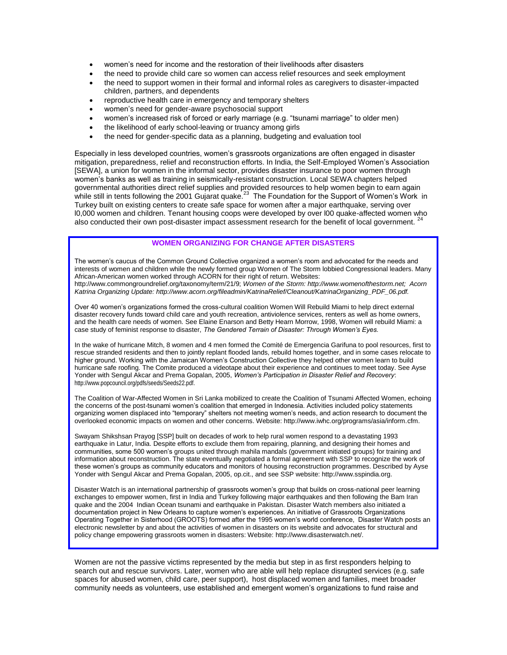- women's need for income and the restoration of their livelihoods after disasters
- the need to provide child care so women can access relief resources and seek employment
- the need to support women in their formal and informal roles as caregivers to disaster-impacted children, partners, and dependents
- reproductive health care in emergency and temporary shelters
- women's need for gender-aware psychosocial support
- women's increased risk of forced or early marriage (e.g. "tsunami marriage" to older men)
- the likelihood of early school-leaving or truancy among girls
- the need for gender-specific data as a planning, budgeting and evaluation tool

Especially in less developed countries, women's grassroots organizations are often engaged in disaster mitigation, preparedness, relief and reconstruction efforts. In India, the Self-Employed Women's Association [SEWA], a union for women in the informal sector, provides disaster insurance to poor women through women's banks as well as training in seismically-resistant construction. Local SEWA chapters helped governmental authorities direct relief supplies and provided resources to help women begin to earn again while still in tents following the 2001 Gujarat quake.<sup>23</sup> The Foundation for the Support of Women's Work in Turkey built on existing centers to create safe space for women after a major earthquake, serving over l0,000 women and children. Tenant housing coops were developed by over l00 quake-affected women who also conducted their own post-disaster impact assessment research for the benefit of local government. <sup>24</sup>

## **WOMEN ORGANIZING FOR CHANGE AFTER DISASTERS**

The women's caucus of the Common Ground Collective organized a women's room and advocated for the needs and interests of women and children while the newly formed group Women of The Storm lobbied Congressional leaders. Many African-American women worked through ACORN for their right of return. Websites: http://www.commongroundrelief.org/taxonomy/term/21/9; *Women of the Storm: http://www.womenofthestorm.net; Acorn Katrina Organizing Update: http://www.acorn.org/fileadmin/KatrinaRelief/Cleanout/KatrinaOrganizing\_PDF\_06.pdf.*

Over 40 women's organizations formed the cross-cultural coalition Women Will Rebuild Miami to help direct external disaster recovery funds toward child care and youth recreation, antiviolence services, renters as well as home owners, and the health care needs of women. See Elaine Enarson and Betty Hearn Morrow, 1998, Women will rebuild Miami: a case study of feminist response to disaster, *The Gendered Terrain of Disaster: Through Women's Eyes.* 

In the wake of hurricane Mitch, 8 women and 4 men formed the Comité de Emergencia Garifuna to pool resources, first to rescue stranded residents and then to jointly replant flooded lands, rebuild homes together, and in some cases relocate to higher ground. Working with the Jamaican Women's Construction Collective they helped other women learn to build hurricane safe roofing. The Comite produced a videotape about their experience and continues to meet today. See Ayse Yonder with Sengul Akcar and Prema Gopalan, 2005, *Women's Participation in Disaster Relief and Recovery*: http://www.popcouncil.org/pdfs/seeds/Seeds22.pdf.

The Coalition of War-Affected Women in Sri Lanka mobilized to create the Coalition of Tsunami Affected Women, echoing the concerns of the post-tsunami women's coalition that emerged in Indonesia. Activities included policy statements organizing women displaced into "temporary" shelters not meeting women's needs, and action research to document the overlooked economic impacts on women and other concerns. Website: http://www.iwhc.org/programs/asia/inform.cfm.

Swayam Shikshsan Prayog [SSP] built on decades of work to help rural women respond to a devastating 1993 earthquake in Latur, India. Despite efforts to exclude them from repairing, planning, and designing their homes and communities, some 500 women's groups united through mahila mandals (government initiated groups) for training and information about reconstruction. The state eventually negotiated a formal agreement with SSP to recognize the work of these women's groups as community educators and monitors of housing reconstruction programmes. Described by Ayse Yonder with Sengul Akcar and Prema Gopalan, 2005, op.cit., and see SSP website: http:/[/www.sspindia.org.](http://www.sspindia.org/)

Disaster Watch is an international partnership of grassroots women's group that builds on cross-national peer learning exchanges to empower women, first in India and Turkey following major earthquakes and then following the Bam Iran quake and the 2004 Indian Ocean tsunami and earthquake in Pakistan. Disaster Watch members also initiated a documentation project in New Orleans to capture women's experiences. An initiative of Grassroots Organizations Operating Together in Sisterhood (GROOTS) formed after the 1995 women's world conference, Disaster Watch posts an electronic newsletter by and about the activities of women in disasters on its website and advocates for structural and policy change empowering grassroots women in disasters: Website: [http://www.disasterwatch.net/.](http://www.disasterwatch.net/)

Women are not the passive victims represented by the media but step in as first responders helping to search out and rescue survivors. Later, women who are able will help replace disrupted services (e.g. safe spaces for abused women, child care, peer support), host displaced women and families, meet broader community needs as volunteers, use established and emergent women's organizations to fund raise and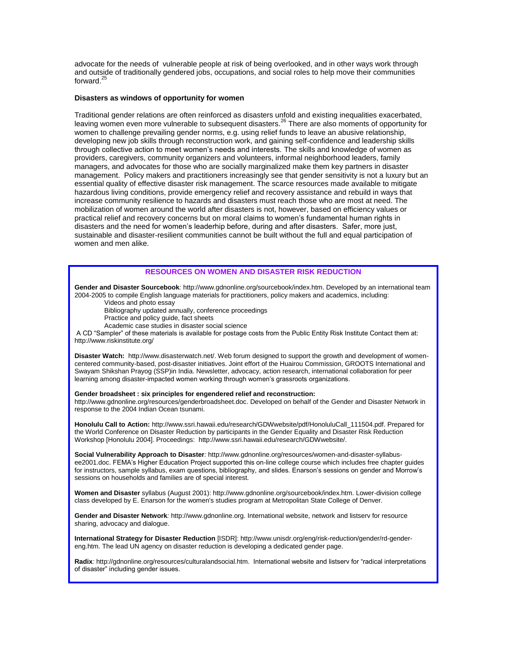advocate for the needs of vulnerable people at risk of being overlooked, and in other ways work through and outside of traditionally gendered jobs, occupations, and social roles to help move their communities forward.<sup>25</sup>

## **Disasters as windows of opportunity for women**

Traditional gender relations are often reinforced as disasters unfold and existing inequalities exacerbated, leaving women even more vulnerable to subsequent disasters.<sup>26</sup> There are also moments of opportunity for women to challenge prevailing gender norms, e.g. using relief funds to leave an abusive relationship, developing new job skills through reconstruction work, and gaining self-confidence and leadership skills through collective action to meet women's needs and interests. The skills and knowledge of women as providers, caregivers, community organizers and volunteers, informal neighborhood leaders, family managers, and advocates for those who are socially marginalized make them key partners in disaster management. Policy makers and practitioners increasingly see that gender sensitivity is not a luxury but an essential quality of effective disaster risk management. The scarce resources made available to mitigate hazardous living conditions, provide emergency relief and recovery assistance and rebuild in ways that increase community resilience to hazards and disasters must reach those who are most at need. The mobilization of women around the world after disasters is not, however, based on efficiency values or practical relief and recovery concerns but on moral claims to women's fundamental human rights in disasters and the need for women's leaderhip before, during and after disasters. Safer, more just, sustainable and disaster-resilient communities cannot be built without the full and equal participation of women and men alike.

## **RESOURCES ON WOMEN AND DISASTER RISK REDUCTION**

**Gender and Disaster Sourcebook***:* http://www.gdnonline.org/sourcebook/index.htm. Developed by an international team 2004-2005 to compile English language materials for practitioners, policy makers and academics, including:

Videos and photo essay

Bibliography updated annually, conference proceedings

Practice and policy guide, fact sheets

Academic case studies in disaster social science

A CD "Sampler" of these materials is available for postage costs from the Public Entity Risk Institute Contact them at: http://www.riskinstitute.org/

**Disaster Watch:** http://www.disasterwatch.net/. Web forum designed to support the growth and development of womencentered community-based, post-disaster initiatives. Joint effort of the Huairou Commission, GROOTS International and Swayam Shikshan Prayog (SSP)in India. Newsletter, advocacy, action research, international collaboration for peer learning among disaster-impacted women working through women's grassroots organizations.

#### **Gender broadsheet : six principles for engendered relief and reconstruction:**

http://www.gdnonline.org/resources/genderbroadsheet.doc. Developed on behalf of the Gender and Disaster Network in response to the 2004 Indian Ocean tsunami.

**Honolulu Call to Action:** http://www.ssri.hawaii.edu/research/GDWwebsite/pdf/HonoluluCall\_111504.pdf. Prepared for the World Conference on Disaster Reduction by participants in the Gender Equality and Disaster Risk Reduction Workshop [Honolulu 2004]. Proceedings: http://www.ssri.hawaii.edu/research/GDWwebsite/.

**Social Vulnerability Approach to Disaster***:* http://www.gdnonline.org/resources/women-and-disaster-syllabusee2001.doc. FEMA's Higher Education Project supported this on-line college course which includes free chapter guides for instructors, sample syllabus, exam questions, bibliography, and slides. Enarson's sessions on gender and Morrow's sessions on households and families are of special interest.

**Women and Disaster** syllabus (August 2001): http://www.gdnonline.org/sourcebook/index.htm. Lower-division college class developed by E. Enarson for the women's studies program at Metropolitan State College of Denver.

**Gender and Disaster Network***:* http://www.gdnonline.org. International website, network and listserv for resource sharing, advocacy and dialogue.

**International Strategy for Disaster Reduction** [ISDR]: http://www.unisdr.org/eng/risk-reduction/gender/rd-gendereng.htm. The lead UN agency on disaster reduction is developing a dedicated gender page.

**Radix***:* http://gdnonline.org/resources/culturalandsocial.htm. International website and listserv for "radical interpretations of disaster" including gender issues.